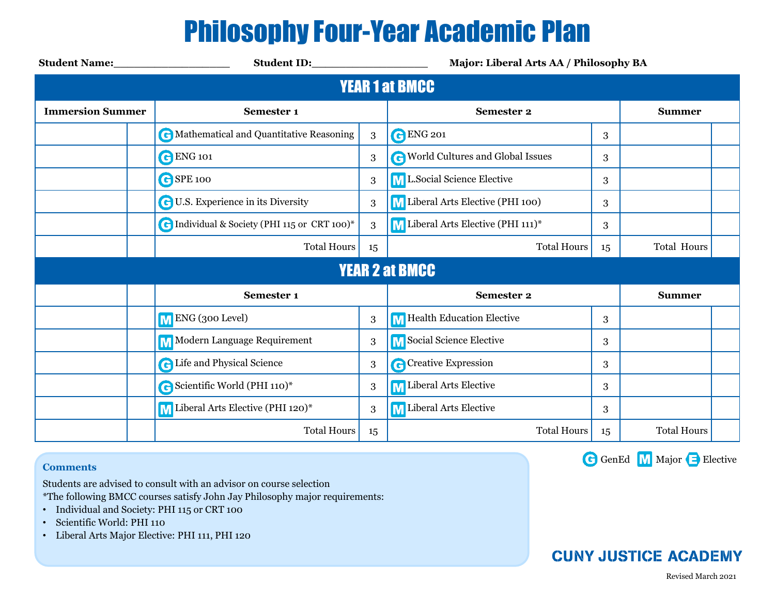## Philosophy Four-Year Academic Plan

| <b>Student Name:</b> Student Name: | Student ID: North Student ID:                |                  | Major: Liberal Arts AA / Philosophy BA |    |                    |  |  |  |  |  |  |
|------------------------------------|----------------------------------------------|------------------|----------------------------------------|----|--------------------|--|--|--|--|--|--|
| <b>YEAR 1 at BMCC</b>              |                                              |                  |                                        |    |                    |  |  |  |  |  |  |
| <b>Immersion Summer</b>            | Semester 1                                   |                  | <b>Semester 2</b>                      |    | <b>Summer</b>      |  |  |  |  |  |  |
|                                    | C Mathematical and Quantitative Reasoning    | 3                | <b>C</b> ENG 201                       | 3  |                    |  |  |  |  |  |  |
|                                    | <b>C</b> ENG 101                             | 3                | World Cultures and Global Issues       | 3  |                    |  |  |  |  |  |  |
|                                    | GSPE 100                                     | $\boldsymbol{3}$ | ML.Social Science Elective             | 3  |                    |  |  |  |  |  |  |
|                                    | <b>G</b> U.S. Experience in its Diversity    | 3                | M Liberal Arts Elective (PHI 100)      | 3  |                    |  |  |  |  |  |  |
|                                    | C Individual & Society (PHI 115 or CRT 100)* | 3                | M Liberal Arts Elective (PHI 111)*     | 3  |                    |  |  |  |  |  |  |
|                                    | <b>Total Hours</b>                           | 15               | <b>Total Hours</b>                     | 15 | <b>Total Hours</b> |  |  |  |  |  |  |
| <b>YEAR 2 at BMCC</b>              |                                              |                  |                                        |    |                    |  |  |  |  |  |  |
|                                    | Semester 1                                   |                  | <b>Semester 2</b>                      |    | <b>Summer</b>      |  |  |  |  |  |  |
|                                    | M ENG (300 Level)                            | $\boldsymbol{3}$ | M Health Education Elective            | 3  |                    |  |  |  |  |  |  |
|                                    | M Modern Language Requirement                | 3                | M Social Science Elective              | 3  |                    |  |  |  |  |  |  |
|                                    | <b>C</b> Life and Physical Science           | 3                | Creative Expression                    | 3  |                    |  |  |  |  |  |  |
|                                    | G Scientific World (PHI 110)*                | $\boldsymbol{3}$ | M Liberal Arts Elective                | 3  |                    |  |  |  |  |  |  |
|                                    | M Liberal Arts Elective (PHI 120)*           | 3                | <b>M</b> Liberal Arts Elective         | 3  |                    |  |  |  |  |  |  |
|                                    | <b>Total Hours</b>                           | 15               | <b>Total Hours</b>                     | 15 | <b>Total Hours</b> |  |  |  |  |  |  |

### **Comments**

Students are advised to consult with an advisor on course selection

\*The following BMCC courses satisfy John Jay Philosophy major requirements:

- Individual and Society: PHI 115 or CRT 100
- Scientific World: PHI 110
- Liberal Arts Major Elective: PHI 111, PHI 120

GenEd M Major B Elective

## **CUNY JUSTICE ACADEMY**

Revised March 2021